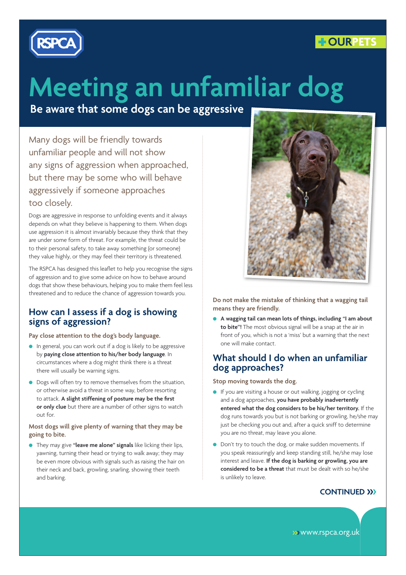



# **Meeting an unfamiliar dog**

**Be aware that some dogs can be aggressive**

Many dogs will be friendly towards unfamiliar people and will not show any signs of aggression when approached, but there may be some who will behave aggressively if someone approaches too closely.

Dogs are aggressive in response to unfolding events and it always depends on what they believe is happening to them. When dogs use aggression it is almost invariably because they think that they are under some form of threat. For example, the threat could be to their personal safety, to take away something (or someone) they value highly, or they may feel their territory is threatened.

The RSPCA has designed this leaflet to help you recognise the signs of aggression and to give some advice on how to behave around dogs that show these behaviours, helping you to make them feel less threatened and to reduce the chance of aggression towards you.

#### **How can I assess if a dog is showing signs of aggression?**

**Pay close attention to the dog's body language.**

- In general, you can work out if a dog is likely to be aggressive by **paying close attention to his/her body language**. In circumstances where a dog might think there is a threat there will usually be warning signs.
- Dogs will often try to remove themselves from the situation, or otherwise avoid a threat in some way, before resorting to attack. A slight stiffening of posture may be the first  **or only clue** but there are a number of other signs to watch out for.

#### **Most dogs will give plenty of warning that they may be going to bite.**

● They may give **"leave me alone" signals** like licking their lips, yawning, turning their head or trying to walk away; they may be even more obvious with signals such as raising the hair on their neck and back, growling, snarling, showing their teeth and barking.



**Do not make the mistake of thinking that a wagging tail means they are friendly.** 

● **A wagging tail can mean lots of things, including "I am about to bite"!** The most obvious signal will be a snap at the air in front of you, which is not a 'miss' but a warning that the next one will make contact.

#### **What should I do when an unfamiliar dog approaches?**

**Stop moving towards the dog.**

- If you are visiting a house or out walking, jogging or cycling and a dog approaches, **you have probably inadvertently entered what the dog considers to be his/her territory.** If the dog runs towards you but is not barking or growling, he/she may just be checking you out and, after a quick sniff to determine you are no threat, may leave you alone.
- Don't try to touch the dog, or make sudden movements. If you speak reassuringly and keep standing still, he/she may lose interest and leave. **If the dog is barking or growling, you are considered to be a threat** that must be dealt with so he/she is unlikely to leave.

#### **CONTINUED >>>**